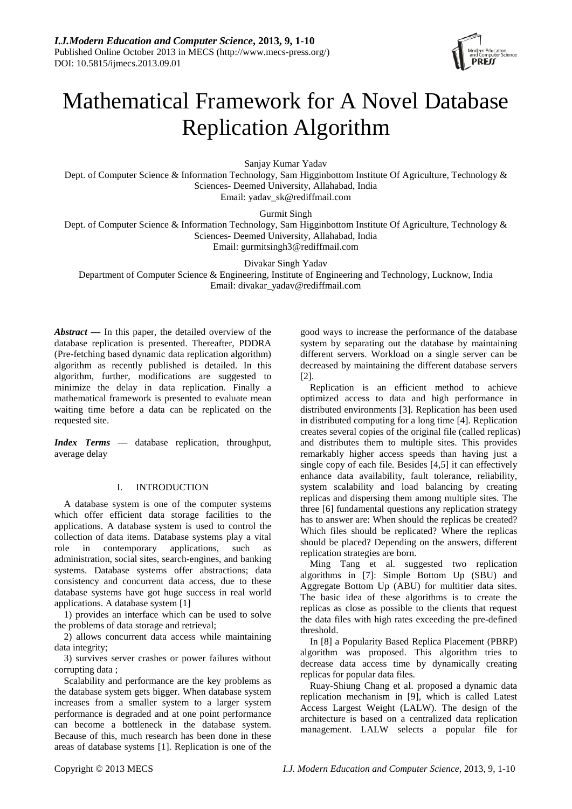

# Mathematical Framework for A Novel Database Replication Algorithm

Sanjay Kumar Yadav

Dept. of Computer Science & Information Technology, Sam Higginbottom Institute Of Agriculture, Technology & Sciences- Deemed University, Allahabad, India

Email: [yadav\\_sk@rediffmail.com](mailto:yadav_sk@rediffmail.com)

Gurmit Singh

Dept. of Computer Science & Information Technology, Sam Higginbottom Institute Of Agriculture, Technology & Sciences- Deemed University, Allahabad, India Email: [gurmitsingh3@rediffmail.com](mailto:gurmitsingh3@rediffmail.com)

Divakar Singh Yadav

Department of Computer Science & Engineering, Institute of Engineering and Technology, Lucknow, India Email: [divakar\\_yadav@rediffmail.com](mailto:divakar_yadav@rediffmail.com)

*Abstract* **—** In this paper, the detailed overview of the database replication is presented. Thereafter, PDDRA (Pre-fetching based dynamic data replication algorithm) algorithm as recently published is detailed. In this algorithm, further, modifications are suggested to minimize the delay in data replication. Finally a mathematical framework is presented to evaluate mean waiting time before a data can be replicated on the requested site.

*Index Terms* — database replication, throughput, average delay

# I. INTRODUCTION

A database system is one of the computer systems which offer efficient data storage facilities to the applications. A database system is used to control the collection of data items. Database systems play a vital role in contemporary applications, such as administration, social sites, search-engines, and banking systems. Database systems offer abstractions; data consistency and concurrent data access, due to these database systems have got huge success in real world applications. A database system [1]

1) provides an interface which can be used to solve the problems of data storage and retrieval;

2) allows concurrent data access while maintaining data integrity;

3) survives server crashes or power failures without corrupting data ;

Scalability and performance are the key problems as the database system gets bigger. When database system increases from a smaller system to a larger system performance is degraded and at one point performance can become a bottleneck in the database system. Because of this, much research has been done in these areas of database systems [1]. Replication is one of the

good ways to increase the performance of the database system by separating out the database by maintaining different servers. Workload on a single server can be decreased by maintaining the different database servers [2].

Replication is an efficient method to achieve optimized access to data and high performance in distributed environments [3]. Replication has been used in distributed computing for a long time [4]. Replication creates several copies of the original file (called replicas) and distributes them to multiple sites. This provides remarkably higher access speeds than having just a single copy of each file. Besides [4,5] it can effectively enhance data availability, fault tolerance, reliability, system scalability and load balancing by creating replicas and dispersing them among multiple sites. The three [6] fundamental questions any replication strategy has to answer are: When should the replicas be created? Which files should be replicated? Where the replicas should be placed? Depending on the answers, different replication strategies are born.

Ming Tang et al. suggested two replication algorithms in [7]: Simple Bottom Up (SBU) and Aggregate Bottom Up (ABU) for multitier data sites. The basic idea of these algorithms is to create the replicas as close as possible to the clients that request the data files with high rates exceeding the pre-defined threshold.

In [8] a Popularity Based Replica Placement (PBRP) algorithm was proposed. This algorithm tries to decrease data access time by dynamically creating replicas for popular data files.

Ruay-Shiung Chang et al. proposed a dynamic data replication mechanism in [9], which is called Latest Access Largest Weight (LALW). The design of the architecture is based on a centralized data replication management. LALW selects a popular file for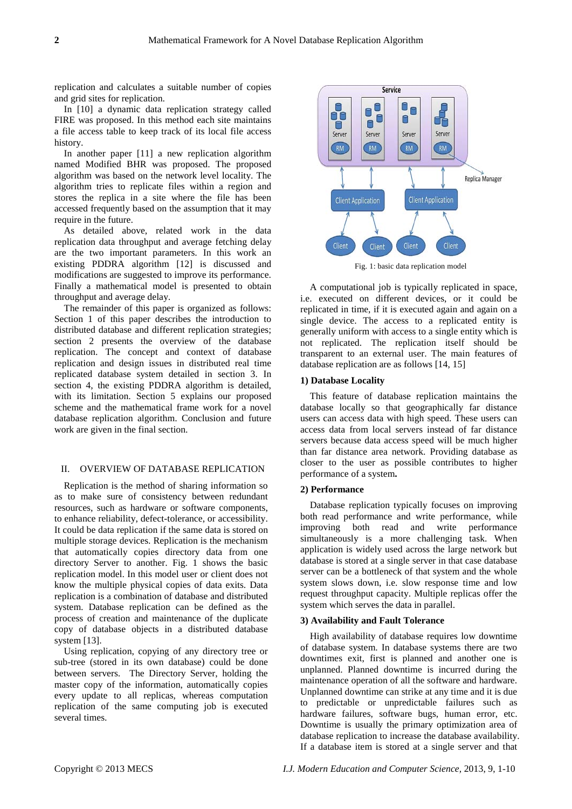replication and calculates a suitable number of copies and grid sites for replication.

In [10] a dynamic data replication strategy called FIRE was proposed. In this method each site maintains a file access table to keep track of its local file access history.

In another paper [11] a new replication algorithm named Modified BHR was proposed. The proposed algorithm was based on the network level locality. The algorithm tries to replicate files within a region and stores the replica in a site where the file has been accessed frequently based on the assumption that it may require in the future.

As detailed above, related work in the data replication data throughput and average fetching delay are the two important parameters. In this work an existing PDDRA algorithm [12] is discussed and modifications are suggested to improve its performance. Finally a mathematical model is presented to obtain throughput and average delay.

The remainder of this paper is organized as follows: Section 1 of this paper describes the introduction to distributed database and different replication strategies; section 2 presents the overview of the database replication. The concept and context of database replication and design issues in distributed real time replicated database system detailed in section 3. In section 4, the existing PDDRA algorithm is detailed, with its limitation. Section 5 explains our proposed scheme and the mathematical frame work for a novel database replication algorithm. Conclusion and future work are given in the final section.

# II. OVERVIEW OF DATABASE REPLICATION

Replication is the method of sharing information so as to make sure of consistency between redundant resources, such as hardware or software components, to enhance reliability, defect-tolerance, or accessibility. It could be data replication if the same data is stored on multiple storage devices. Replication is the mechanism that automatically copies directory data from one directory Server to another. Fig. 1 shows the basic replication model. In this model user or client does not know the multiple physical copies of data exits. Data replication is a combination of database and distributed system. Database replication can be defined as the process of creation and maintenance of the duplicate copy of database objects in a distributed database system [13].

Using replication, copying of any directory tree or sub-tree (stored in its own database) could be done between servers. The Directory Server, holding the master copy of the information, automatically copies every update to all replicas, whereas computation replication of the same computing job is executed several times.



Fig. 1: basic data replication model

A computational job is typically replicated in space, i.e. executed on different devices, or it could be replicated in time, if it is executed again and again on a single device. The access to a replicated entity is generally uniform with access to a single entity which is not replicated. The replication itself should be transparent to an external user. The main features of database replication are as follows [14, 15]

## **1) Database Locality**

This feature of database replication maintains the database locally so that geographically far distance users can access data with high speed. These users can access data from local servers instead of far distance servers because data access speed will be much higher than far distance area network. Providing database as closer to the user as possible contributes to higher performance of a system**.** 

# **2) Performance**

Database replication typically focuses on improving both read performance and write performance, while improving both read and write performance simultaneously is a more challenging task. When application is widely used across the large network but database is stored at a single server in that case database server can be a bottleneck of that system and the whole system slows down, i.e. slow response time and low request throughput capacity. Multiple replicas offer the system which serves the data in parallel.

#### **3) Availability and Fault Tolerance**

High availability of database requires low downtime of database system. In database systems there are two downtimes exit, first is planned and another one is unplanned. Planned downtime is incurred during the maintenance operation of all the software and hardware. Unplanned downtime can strike at any time and it is due to predictable or unpredictable failures such as hardware failures, software bugs, human error, etc. Downtime is usually the primary optimization area of database replication to increase the database availability. If a database item is stored at a single server and that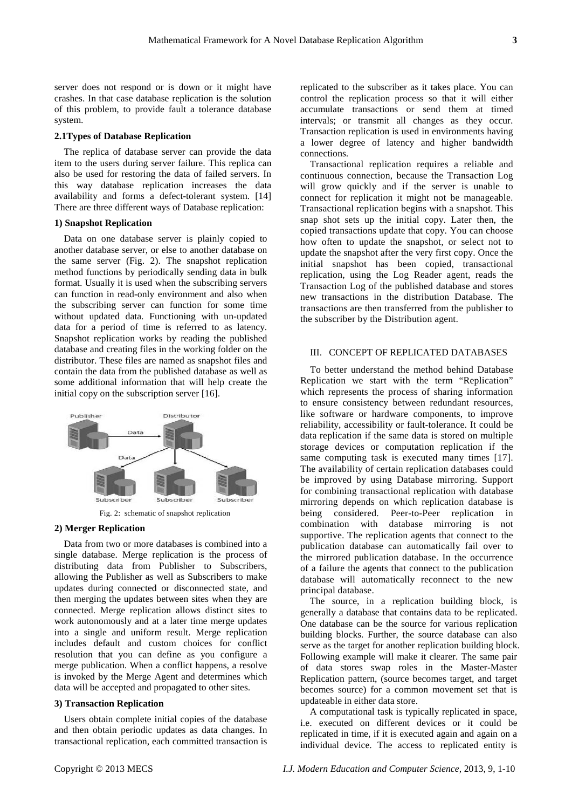server does not respond or is down or it might have crashes. In that case database replication is the solution of this problem, to provide fault a tolerance database system.

#### **2.1Types of Database Replication**

The replica of database server can provide the data item to the users during server failure. This replica can also be used for restoring the data of failed servers. In this way database replication increases the data availability and forms a defect-tolerant system. [14] There are three different ways of Database replication:

## **1) Snapshot Replication**

Data on one database server is plainly copied to another database server, or else to another database on the same server (Fig. 2). The snapshot replication method functions by periodically sending data in bulk format. Usually it is used when the subscribing servers can function in read-only environment and also when the subscribing server can function for some time without updated data. Functioning with un-updated data for a period of time is referred to as latency. Snapshot replication works by reading the published database and creating files in the working folder on the distributor. These files are named as snapshot files and contain the data from the published database as well as some additional information that will help create the initial copy on the subscription server [16].



Fig. 2: schematic of snapshot replication

# **2) Merger Replication**

Data from two or more databases is combined into a single database. Merge replication is the process of distributing data from Publisher to Subscribers, allowing the Publisher as well as Subscribers to make updates during connected or disconnected state, and then merging the updates between sites when they are connected. Merge replication allows distinct sites to work autonomously and at a later time merge updates into a single and uniform result. Merge replication includes default and custom choices for conflict resolution that you can define as you configure a merge publication. When a conflict happens, a resolve is invoked by the Merge Agent and determines which data will be accepted and propagated to other sites.

## **3) Transaction Replication**

Users obtain complete initial copies of the database and then obtain periodic updates as data changes. In transactional replication, each committed transaction is

replicated to the subscriber as it takes place. You can control the replication process so that it will either accumulate transactions or send them at timed intervals; or transmit all changes as they occur. Transaction replication is used in environments having a lower degree of latency and higher bandwidth connections.

Transactional replication requires a reliable and continuous connection, because the Transaction Log will grow quickly and if the server is unable to connect for replication it might not be manageable. Transactional replication begins with a snapshot. This snap shot sets up the initial copy. Later then, the copied transactions update that copy. You can choose how often to update the snapshot, or select not to update the snapshot after the very first copy. Once the initial snapshot has been copied, transactional replication, using the Log Reader agent, reads the Transaction Log of the published database and stores new transactions in the distribution Database. The transactions are then transferred from the publisher to the subscriber by the Distribution agent.

## III. CONCEPT OF REPLICATED DATABASES

To better understand the method behind Database Replication we start with the term "Replication" which represents the process of sharing information to ensure consistency between redundant resources, like software or hardware components, to improve reliability, accessibility or fault-tolerance. It could be data replication if the same data is stored on multiple storage devices or computation replication if the same computing task is executed many times [17]. The availability of certain replication databases could be improved by using Database mirroring. Support for combining transactional replication with database mirroring depends on which replication database is being considered. Peer-to-Peer replication in combination with database mirroring is not supportive. The replication agents that connect to the publication database can automatically fail over to the mirrored publication database. In the occurrence of a failure the agents that connect to the publication database will automatically reconnect to the new principal database.

The source, in a replication building block, is generally a database that contains data to be replicated. One database can be the source for various replication building blocks. Further, the source database can also serve as the target for another replication building block. Following example will make it clearer. The same pair of data stores swap roles in the Master-Master Replication pattern, (source becomes target, and target becomes source) for a common movement set that is updateable in either data store.

A computational task is typically replicated in space, i.e. executed on different devices or it could be replicated in time, if it is executed again and again on a individual device. The access to replicated entity is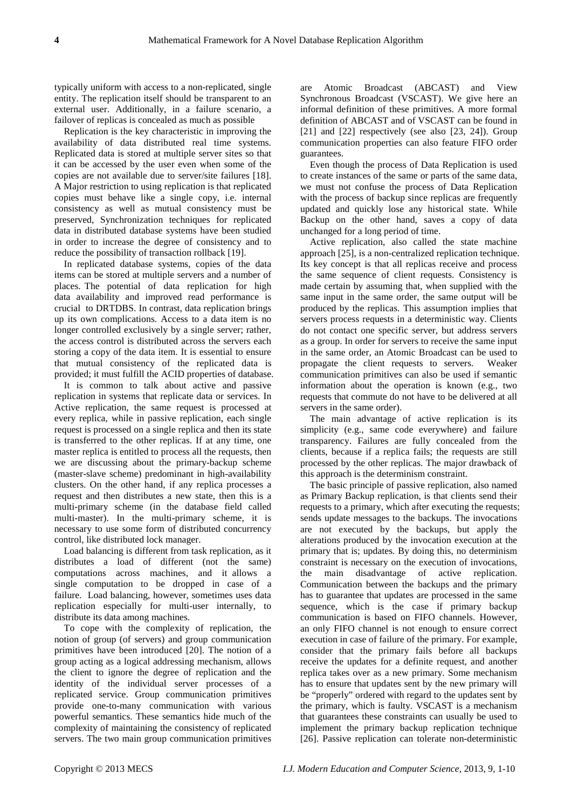typically uniform with access to a non-replicated, single entity. The replication itself should be transparent to an external user. Additionally, in a failure scenario, a failover of replicas is concealed as much as possible

Replication is the key characteristic in improving the availability of data distributed real time systems. Replicated data is stored at multiple server sites so that it can be accessed by the user even when some of the copies are not available due to server/site failures [18]. A Major restriction to using replication is that replicated copies must behave like a single copy, i.e. internal consistency as well as mutual consistency must be preserved, Synchronization techniques for replicated data in distributed database systems have been studied in order to increase the degree of consistency and to reduce the possibility of transaction rollback [19].

In replicated database systems, copies of the data items can be stored at multiple servers and a number of places. The potential of data replication for high data availability and improved read performance is crucial to DRTDBS. In contrast, data replication brings up its own complications. Access to a data item is no longer controlled exclusively by a single server; rather, the access control is distributed across the servers each storing a copy of the data item. It is essential to ensure that mutual consistency of the replicated data is provided; it must fulfill the ACID properties of database.

It is common to talk about active and passive replication in systems that replicate data or services. In Active replication, the same request is processed at every replica, while in passive replication, each single request is processed on a single replica and then its state is transferred to the other replicas. If at any time, one master replica is entitled to process all the requests, then we are discussing about the primary-backup scheme (master-slave scheme) predominant in high-availability clusters. On the other hand, if any replica processes a request and then distributes a new state, then this is a multi-primary scheme (in the database field called multi-master). In the multi-primary scheme, it is necessary to use some form of distributed concurrency control, like distributed lock manager.

Load balancing is different from task replication, as it distributes a load of different (not the same) computations across machines, and it allows a single computation to be dropped in case of a failure. Load balancing, however, sometimes uses data replication especially for multi-user internally, to distribute its data among machines.

To cope with the complexity of replication, the notion of group (of servers) and group communication primitives have been introduced [20]. The notion of a group acting as a logical addressing mechanism, allows the client to ignore the degree of replication and the identity of the individual server processes of a replicated service. Group communication primitives provide one-to-many communication with various powerful semantics. These semantics hide much of the complexity of maintaining the consistency of replicated servers. The two main group communication primitives

are Atomic Broadcast (ABCAST) and View Synchronous Broadcast (VSCAST). We give here an informal definition of these primitives. A more formal definition of ABCAST and of VSCAST can be found in [21] and [22] respectively (see also [23, 24]). Group communication properties can also feature FIFO order guarantees.

Even though the process of Data Replication is used to create instances of the same or parts of the same data, we must not confuse the process of Data Replication with the process of backup since replicas are frequently updated and quickly lose any historical state. While Backup on the other hand, saves a copy of data unchanged for a long period of time.

Active replication, also called the state machine approach [25], is a non-centralized replication technique. Its key concept is that all replicas receive and process the same sequence of client requests. Consistency is made certain by assuming that, when supplied with the same input in the same order, the same output will be produced by the replicas. This assumption implies that servers process requests in a deterministic way. Clients do not contact one specific server, but address servers as a group. In order for servers to receive the same input in the same order, an Atomic Broadcast can be used to propagate the client requests to servers. Weaker communication primitives can also be used if semantic information about the operation is known (e.g., two requests that commute do not have to be delivered at all servers in the same order).

The main advantage of active replication is its simplicity (e.g., same code everywhere) and failure transparency. Failures are fully concealed from the clients, because if a replica fails; the requests are still processed by the other replicas. The major drawback of this approach is the determinism constraint.

The basic principle of passive replication, also named as Primary Backup replication, is that clients send their requests to a primary, which after executing the requests; sends update messages to the backups. The invocations are not executed by the backups, but apply the alterations produced by the invocation execution at the primary that is; updates. By doing this, no determinism constraint is necessary on the execution of invocations, the main disadvantage of active replication. Communication between the backups and the primary has to guarantee that updates are processed in the same sequence, which is the case if primary backup communication is based on FIFO channels. However, an only FIFO channel is not enough to ensure correct execution in case of failure of the primary. For example, consider that the primary fails before all backups receive the updates for a definite request, and another replica takes over as a new primary. Some mechanism has to ensure that updates sent by the new primary will be "properly" ordered with regard to the updates sent by the primary, which is faulty. VSCAST is a mechanism that guarantees these constraints can usually be used to implement the primary backup replication technique [26]. Passive replication can tolerate non-deterministic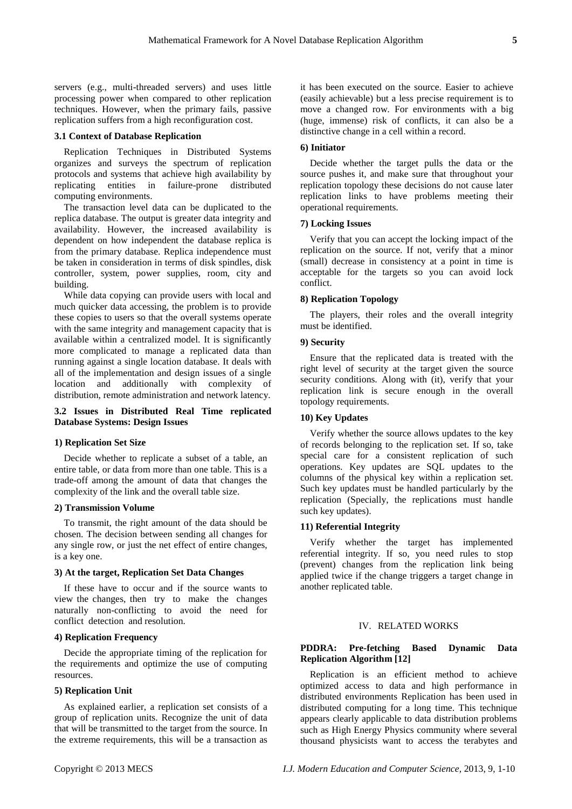servers (e.g., multi-threaded servers) and uses little processing power when compared to other replication techniques. However, when the primary fails, passive replication suffers from a high reconfiguration cost.

# **3.1 Context of Database Replication**

Replication Techniques in Distributed Systems organizes and surveys the spectrum of replication protocols and systems that achieve high availability by replicating entities in failure-prone distributed computing environments.

The transaction level data can be duplicated to the replica database. The output is greater data integrity and availability. However, the increased availability is dependent on how independent the database replica is from the primary database. Replica independence must be taken in consideration in terms of disk spindles, disk controller, system, power supplies, room, city and building.

While data copying can provide users with local and much quicker data accessing, the problem is to provide these copies to users so that the overall systems operate with the same integrity and management capacity that is available within a centralized model. It is significantly more complicated to manage a replicated data than running against a single location database. It deals with all of the implementation and design issues of a single location and additionally with complexity of distribution, remote administration and network latency.

# **3.2 Issues in Distributed Real Time replicated Database Systems: Design Issues**

#### **1) Replication Set Size**

Decide whether to replicate a subset of a table, an entire table, or data from more than one table. This is a trade-off among the amount of data that changes the complexity of the link and the overall table size.

## **2) Transmission Volume**

To transmit, the right amount of the data should be chosen. The decision between sending all changes for any single row, or just the net effect of entire changes, is a key one.

# **3) At the target, Replication Set Data Changes**

If these have to occur and if the source wants to view the changes, then try to make the changes naturally non-conflicting to avoid the need for conflict detectionand resolution.

# **4) Replication Frequency**

Decide the appropriate timing of the replication for the requirements and optimize the use of computing resources.

#### **5) Replication Unit**

As explained earlier, a replication set consists of a group of replication units. Recognize the unit of data that will be transmitted to the target from the source. In the extreme requirements, this will be a transaction as

it has been executed on the source. Easier to achieve (easily achievable) but a less precise requirement is to move a changed row. For environments with a big (huge, immense) risk of conflicts, it can also be a distinctive change in a cell within a record.

# **6) Initiator**

Decide whether the target pulls the data or the source pushes it, and make sure that throughout your replication topology these decisions do not cause later replication links to have problems meeting their operational requirements.

#### **7) Locking Issues**

Verify that you can accept the locking impact of the replication on the source. If not, verify that a minor (small) decrease in consistency at a point in time is acceptable for the targets so you can avoid lock conflict.

# **8) Replication Topology**

The players, their roles and the overall integrity must be identified.

# **9) Security**

Ensure that the replicated data is treated with the right level of security at the target given the source security conditions. Along with (it), verify that your replication link is secure enough in the overall topology requirements.

# **10) Key Updates**

Verify whether the source allows updates to the key of records belonging to the replication set. If so, take special care for a consistent replication of such operations. Key updates are SQL updates to the columns of the physical key within a replication set. Such key updates must be handled particularly by the replication (Specially, the replications must handle such key updates).

## **11) Referential Integrity**

Verify whether the target has implemented referential integrity. If so, you need rules to stop (prevent) changes from the replication link being applied twice if the change triggers a target change in another replicated table.

# IV. RELATED WORKS

# **PDDRA: Pre-fetching Based Dynamic Data Replication Algorithm [12]**

Replication is an efficient method to achieve optimized access to data and high performance in distributed environments Replication has been used in distributed computing for a long time. This technique appears clearly applicable to data distribution problems such as High Energy Physics community where several thousand physicists want to access the terabytes and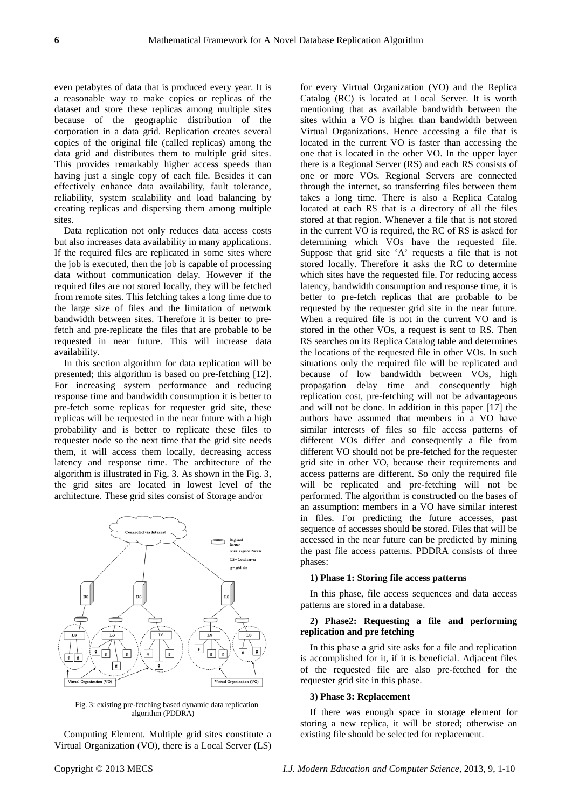even petabytes of data that is produced every year. It is a reasonable way to make copies or replicas of the dataset and store these replicas among multiple sites because of the geographic distribution of the corporation in a data grid. Replication creates several copies of the original file (called replicas) among the data grid and distributes them to multiple grid sites. This provides remarkably higher access speeds than having just a single copy of each file. Besides it can effectively enhance data availability, fault tolerance, reliability, system scalability and load balancing by creating replicas and dispersing them among multiple sites.

Data replication not only reduces data access costs but also increases data availability in many applications. If the required files are replicated in some sites where the job is executed, then the job is capable of processing data without communication delay. However if the required files are not stored locally, they will be fetched from remote sites. This fetching takes a long time due to the large size of files and the limitation of network bandwidth between sites. Therefore it is better to prefetch and pre-replicate the files that are probable to be requested in near future. This will increase data availability.

In this section algorithm for data replication will be presented; this algorithm is based on pre-fetching [12]. For increasing system performance and reducing response time and bandwidth consumption it is better to pre-fetch some replicas for requester grid site, these replicas will be requested in the near future with a high probability and is better to replicate these files to requester node so the next time that the grid site needs them, it will access them locally, decreasing access latency and response time. The architecture of the algorithm is illustrated in Fig. 3. As shown in the Fig. 3, the grid sites are located in lowest level of the architecture. These grid sites consist of Storage and/or



Fig. 3: existing pre-fetching based dynamic data replication algorithm (PDDRA)

Computing Element. Multiple grid sites constitute a Virtual Organization (VO), there is a Local Server (LS)

for every Virtual Organization (VO) and the Replica Catalog (RC) is located at Local Server. It is worth mentioning that as available bandwidth between the sites within a VO is higher than bandwidth between Virtual Organizations. Hence accessing a file that is located in the current VO is faster than accessing the one that is located in the other VO. In the upper layer there is a Regional Server (RS) and each RS consists of one or more VOs. Regional Servers are connected through the internet, so transferring files between them takes a long time. There is also a Replica Catalog located at each RS that is a directory of all the files stored at that region. Whenever a file that is not stored in the current VO is required, the RC of RS is asked for determining which VOs have the requested file. Suppose that grid site 'A' requests a file that is not stored locally. Therefore it asks the RC to determine which sites have the requested file. For reducing access latency, bandwidth consumption and response time, it is better to pre-fetch replicas that are probable to be requested by the requester grid site in the near future. When a required file is not in the current VO and is stored in the other VOs, a request is sent to RS. Then RS searches on its Replica Catalog table and determines the locations of the requested file in other VOs. In such situations only the required file will be replicated and because of low bandwidth between VOs, high propagation delay time and consequently high replication cost, pre-fetching will not be advantageous and will not be done. In addition in this paper [17] the authors have assumed that members in a VO have similar interests of files so file access patterns of different VOs differ and consequently a file from different VO should not be pre-fetched for the requester grid site in other VO, because their requirements and access patterns are different. So only the required file will be replicated and pre-fetching will not be performed. The algorithm is constructed on the bases of an assumption: members in a VO have similar interest in files. For predicting the future accesses, past sequence of accesses should be stored. Files that will be accessed in the near future can be predicted by mining the past file access patterns. PDDRA consists of three phases:

#### **1) Phase 1: Storing file access patterns**

In this phase, file access sequences and data access patterns are stored in a database.

# **2) Phase2: Requesting a file and performing replication and pre fetching**

In this phase a grid site asks for a file and replication is accomplished for it, if it is beneficial. Adjacent files of the requested file are also pre-fetched for the requester grid site in this phase.

# **3) Phase 3: Replacement**

If there was enough space in storage element for storing a new replica, it will be stored; otherwise an existing file should be selected for replacement.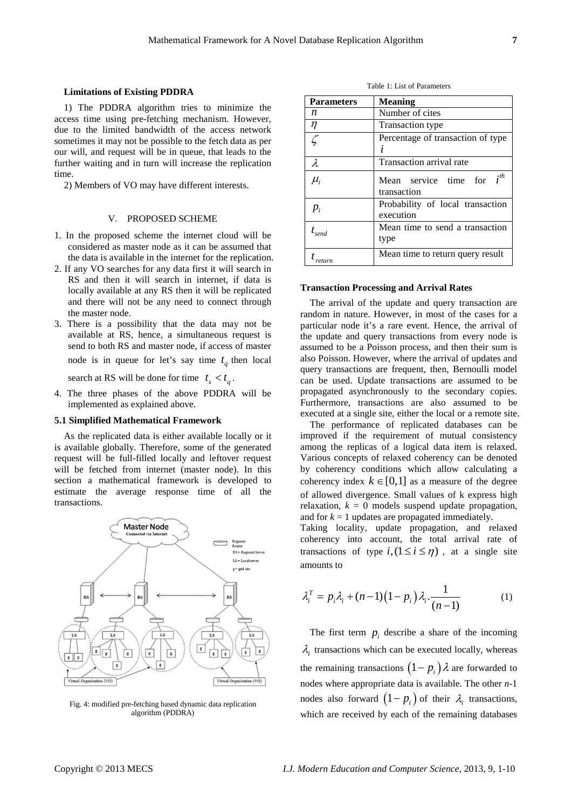1) The PDDRA algorithm tries to minimize the access time using pre-fetching mechanism. However, due to the limited bandwidth of the access network sometimes it may not be possible to the fetch data as per our will, and request will be in queue, that leads to the further waiting and in turn will increase the replication time.

2) Members of VO may have different interests.

## V. PROPOSED SCHEME

- 1. In the proposed scheme the internet cloud will be considered as master node as it can be assumed that the data is available in the internet for the replication.
- 2. If any VO searches for any data first it will search in RS and then it will search in internet, if data is locally available at any RS then it will be replicated and there will not be any need to connect through the master node.
- 3. There is a possibility that the data may not be available at RS, hence, a simultaneous request is send to both RS and master node, if access of master node is in queue for let's say time  $t_a$  then local

search at RS will be done for time  $t_s < t_a$ .

4. The three phases of the above PDDRA will be implemented as explained above.

#### **5.1 Simplified Mathematical Framework**

As the replicated data is either available locally or it is available globally. Therefore, some of the generated request will be full-filled locally and leftover request will be fetched from internet (master node). In this section a mathematical framework is developed to estimate the average response time of all the transactions.



Fig. 4: modified pre-fetching based dynamic data replication algorithm (PDDRA)

Table 1: List of Parameters

| <b>Parameters</b> | <b>Meaning</b>                                |
|-------------------|-----------------------------------------------|
| n                 | Number of cites                               |
| $\eta$            | Transaction type                              |
|                   | Percentage of transaction of type             |
| $\lambda$         | Transaction arrival rate                      |
| $\mu_{i}$         | Mean service time for $i^{th}$<br>transaction |
| $p_i$             | Probability of local transaction<br>execution |
| $t_{\text{send}}$ | Mean time to send a transaction<br>type       |
|                   | Mean time to return query result              |

#### **Transaction Processing and Arrival Rates**

The arrival of the update and query transaction are random in nature. However, in most of the cases for a particular node it's a rare event. Hence, the arrival of the update and query transactions from every node is assumed to be a Poisson process, and then their sum is also Poisson. However, where the arrival of updates and query transactions are frequent, then, Bernoulli model can be used. Update transactions are assumed to be propagated asynchronously to the secondary copies. Furthermore, transactions are also assumed to be executed at a single site, either the local or a remote site.

The performance of replicated databases can be improved if the requirement of mutual consistency among the replicas of a logical data item is relaxed. Various concepts of relaxed coherency can be denoted by coherency conditions which allow calculating a coherency index  $k \in [0,1]$  as a measure of the degree of allowed divergence. Small values of k express high relaxation,  $k = 0$  models suspend update propagation, and for  $k = 1$  updates are propagated immediately.

Taking locality, update propagation, and relaxed coherency into account, the total arrival rate of transactions of type  $i$ ,  $(1 \le i \le \eta)$ , at a single site amounts to

$$
\lambda_i^T = p_i \lambda_i + (n-1)\left(1 - p_i\right) \lambda_i \cdot \frac{1}{(n-1)}\tag{1}
$$

The first term  $p_i$  describe a share of the incoming  $\lambda$ <sub>i</sub> transactions which can be executed locally, whereas the remaining transactions  $(1-p_i)\lambda$  are forwarded to nodes where appropriate data is available. The other *n*-1 nodes also forward  $(1-p_i)$  of their  $\lambda_i$  transactions, which are received by each of the remaining databases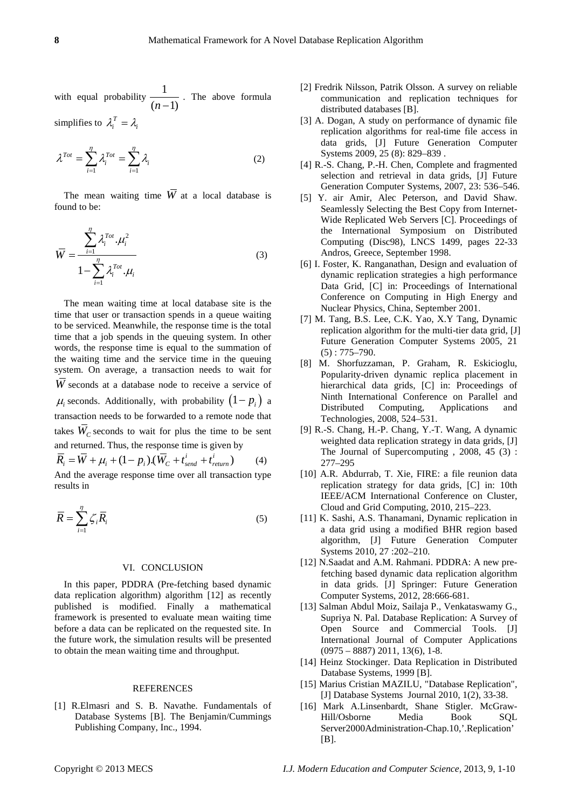$$
\lambda^{Tot} = \sum_{i=1}^{\eta} \lambda_i^{Tot} = \sum_{i=1}^{\eta} \lambda_i
$$
 (2)

The mean waiting time  $\overline{W}$  at a local database is found to be:

$$
\overline{W} = \frac{\sum_{i=1}^{\eta} \lambda_i^{Tot} \cdot \mu_i^2}{1 - \sum_{i=1}^{\eta} \lambda_i^{Tot} \cdot \mu_i}
$$
(3)

The mean waiting time at local database site is the time that user or transaction spends in a queue waiting to be serviced. Meanwhile, the response time is the total time that a job spends in the queuing system. In other words, the response time is equal to the summation of the waiting time and the service time in the queuing system. On average, a transaction needs to wait for *W* seconds at a database node to receive a service of  $\mu_i$  seconds. Additionally, with probability  $(1-p_i)$  a transaction needs to be forwarded to a remote node that takes  $\overline{W}_C$  seconds to wait for plus the time to be sent and returned. Thus, the response time is given by  $\overline{R}_{i} = \overline{W} + \mu_{i} + (1 - p_{i}).(\overline{W}_{C} + t_{send}^{i} + t_{return}^{i})$  (4) And the average response time over all transaction type results in

$$
\overline{R} = \sum_{i=1}^{n} \zeta_i \overline{R}_i
$$
\n(5)

# VI. CONCLUSION

In this paper, PDDRA (Pre-fetching based dynamic data replication algorithm) algorithm [12] as recently published is modified. Finally a mathematical framework is presented to evaluate mean waiting time before a data can be replicated on the requested site. In the future work, the simulation results will be presented to obtain the mean waiting time and throughput.

# **REFERENCES**

[1] R.Elmasri and S. B. Navathe. Fundamentals of Database Systems [B]. The Benjamin/Cummings Publishing Company, Inc., 1994.

- [2] Fredrik Nilsson, Patrik Olsson. A survey on reliable communication and replication techniques for distributed databases [B].
- [3] A. Dogan, A study on performance of dynamic file replication algorithms for real-time file access in data grids, [J] Future Generation Computer Systems 2009, 25 (8): 829–839 .
- [4] R.-S. Chang, P.-H. Chen, Complete and fragmented selection and retrieval in data grids, [J] Future Generation Computer Systems, 2007, 23: 536–546.
- [5] Y. air Amir, Alec Peterson, and David Shaw. Seamlessly Selecting the Best Copy from Internet-Wide Replicated Web Servers [C]. Proceedings of the International Symposium on Distributed Computing (Disc98), LNCS 1499, pages 22-33 Andros, Greece, September 1998.
- [6] I. Foster, K. Ranganathan, Design and evaluation of dynamic replication strategies a high performance Data Grid, [C] in: Proceedings of International Conference on Computing in High Energy and Nuclear Physics, China, September 2001.
- [7] M. Tang, B.S. Lee, C.K. Yao, X.Y Tang, Dynamic replication algorithm for the multi-tier data grid, [J] Future Generation Computer Systems 2005, 21  $(5)$ : 775–790.
- [8] M. Shorfuzzaman, P. Graham, R. Eskicioglu, Popularity-driven dynamic replica placement in hierarchical data grids, [C] in: Proceedings of Ninth International Conference on Parallel and Distributed Computing, Applications and Technologies, 2008, 524–531.
- [9] R.-S. Chang, H.-P. Chang, Y.-T. Wang, A dynamic weighted data replication strategy in data grids, [J] The Journal of Supercomputing , 2008, 45 (3) : 277–295
- [10] A.R. Abdurrab, T. Xie, FIRE: a file reunion data replication strategy for data grids, [C] in: 10th IEEE/ACM International Conference on Cluster, Cloud and Grid Computing, 2010, 215–223.
- [11] K. Sashi, A.S. Thanamani, Dynamic replication in a data grid using a modified BHR region based algorithm, [J] Future Generation Computer Systems 2010, 27 :202–210.
- [12] N.Saadat and A.M. Rahmani. PDDRA: A new prefetching based dynamic data replication algorithm in data grids. [J] Springer: Future Generation Computer Systems, 2012, 28:666-681.
- [13] Salman Abdul Moiz, Sailaja P., Venkataswamy G., Supriya N. Pal. Database Replication: A Survey of Open Source and Commercial Tools. [J] International Journal of Computer Applications  $(0975 - 8887)$  2011, 13(6), 1-8.
- [14] Heinz Stockinger. Data Replication in Distributed Database Systems, 1999 [B].
- [15] Marius Cristian MAZILU, "Database Replication", [J] Database Systems Journal 2010, 1(2), 33-38.
- [16] Mark A.Linsenbardt, Shane Stigler. McGraw-Hill/Osborne Media Book SQL Server2000Administration-Chap.10,'.Replication' [B].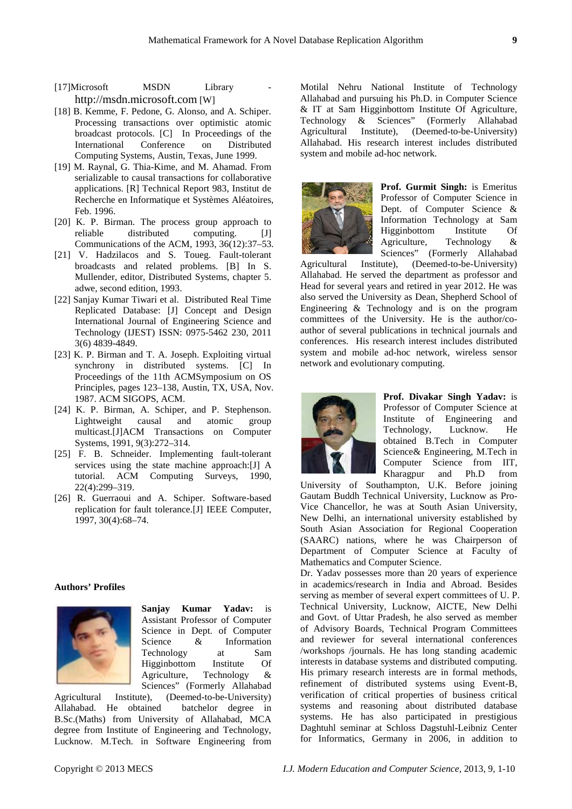- [17]Microsoft MSDN Library [http://msdn.microsoft.com](http://msdn.microsoft.com/) [W]
- [18] B. Kemme, F. Pedone, G. Alonso, and A. Schiper. Processing transactions over optimistic atomic broadcast protocols. [C] In Proceedings of the International Conference on Distributed Computing Systems, Austin, Texas, June 1999.
- [19] M. Raynal, G. Thia-Kime, and M. Ahamad. From serializable to causal transactions for collaborative applications. [R] Technical Report 983, Institut de Recherche en Informatique et Systèmes Aléatoires, Feb. 1996.
- [20] K. P. Birman. The process group approach to reliable distributed computing. [J] Communications of the ACM, 1993, 36(12):37–53.
- [21] V. Hadzilacos and S. Toueg. Fault-tolerant broadcasts and related problems. [B] In S. Mullender, editor, Distributed Systems, chapter 5. adwe, second edition, 1993.
- [22] Sanjay Kumar Tiwari et al. Distributed Real Time Replicated Database: [J] Concept and Design International Journal of Engineering Science and Technology (IJEST) ISSN: 0975-5462 230, 2011 3(6) 4839-4849.
- [23] K. P. Birman and T. A. Joseph. Exploiting virtual synchrony in distributed systems. [C] In Proceedings of the 11th ACMSymposium on OS Principles, pages 123–138, Austin, TX, USA, Nov. 1987. ACM SIGOPS, ACM.
- [24] K. P. Birman, A. Schiper, and P. Stephenson. Lightweight causal and atomic multicast.[J]ACM Transactions on Computer Systems, 1991, 9(3):272–314.
- [25] F. B. Schneider. Implementing fault-tolerant services using the state machine approach:[J] A tutorial. ACM Computing Surveys, 1990, 22(4):299–319.
- [26] R. Guerraoui and A. Schiper. Software-based replication for fault tolerance.[J] IEEE Computer, 1997, 30(4):68–74.

# **Authors' Profiles**



**Sanjay Kumar Yadav:** is Assistant Professor of Computer Science in Dept. of Computer Science & Information Technology at Sam Higginbottom Institute Of Agriculture, Technology & Sciences" (Formerly Allahabad

Agricultural Institute), (Deemed-to-be-University) Allahabad. He obtained batchelor degree in B.Sc.(Maths) from University of Allahabad, MCA degree from Institute of Engineering and Technology, Lucknow. M.Tech. in Software Engineering from Motilal Nehru National Institute of Technology Allahabad and pursuing his Ph.D. in Computer Science & IT at Sam Higginbottom Institute Of Agriculture, Technology & Sciences" (Formerly Allahabad<br>Agricultural Institute), (Deemed-to-be-University) (Deemed-to-be-University) Allahabad. His research interest includes distributed system and mobile ad-hoc network.



**Prof. Gurmit Singh:** is Emeritus Professor of Computer Science in Dept. of Computer Science & Information Technology at Sam Higginbottom Institute Of Agriculture, Technology & Sciences" (Formerly Allahabad

Agricultural Institute), (Deemed-to-be-University) Allahabad. He served the department as professor and Head for several years and retired in year 2012. He was also served the University as Dean, [Shepherd School of](http://shiatsmail.edu.in/webwapp/faculty/Colleges/coll_EnggTech.asp)  [Engineering & Technology](http://shiatsmail.edu.in/webwapp/faculty/Colleges/coll_EnggTech.asp) and is on the program committees of the University. He is the author/coauthor of several publications in technical journals and conferences. His research interest includes distributed system and mobile ad-hoc network, wireless sensor network and evolutionary computing.



**Prof. Divakar Singh Yadav:** is Professor of Computer Science at Institute of Engineering and<br>Technology, Lucknow. He Technology, Lucknow. He obtained B.Tech in Computer Science& Engineering, M.Tech in Computer Science from IIT, Kharagpur and Ph.D from

University of Southampton, U.K. Before joining Gautam Buddh Technical University, Lucknow as Pro-Vice Chancellor, he was at South Asian University, New Delhi, an international university established by South Asian Association for Regional Cooperation (SAARC) nations, where he was Chairperson of Department of Computer Science at Faculty of Mathematics and Computer Science.

Dr. Yadav possesses more than 20 years of experience in academics/research in India and Abroad. Besides serving as member of several expert committees of U. P. Technical University, Lucknow, AICTE, New Delhi and Govt. of Uttar Pradesh, he also served as member of Advisory Boards, Technical Program Committees and reviewer for several international conferences /workshops /journals. He has long standing academic interests in database systems and distributed computing. His primary research interests are in formal methods, refinement of distributed systems using Event-B, verification of critical properties of business critical systems and reasoning about distributed database systems. He has also participated in prestigious Daghtuhl seminar at Schloss Dagstuhl-Leibniz Center for Informatics, Germany in 2006, in addition to